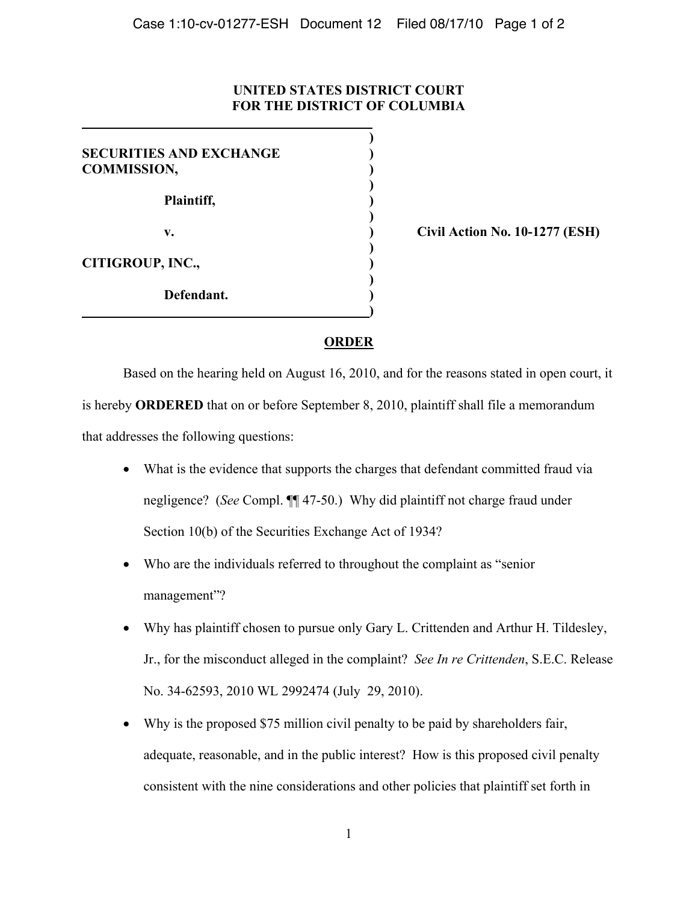## **UNITED STATES DISTRICT COURT FOR THE DISTRICT OF COLUMBIA**

**)**

| <b>SECURITIES AND EXCHANGE</b><br><b>COMMISSION,</b> |  |
|------------------------------------------------------|--|
| Plaintiff,                                           |  |
| V.                                                   |  |
| <b>CITIGROUP, INC.,</b>                              |  |
| Defendant.                                           |  |
|                                                      |  |

**v. ) Civil Action No. 10-1277 (ESH)** 

## **ORDER**

Based on the hearing held on August 16, 2010, and for the reasons stated in open court, it is hereby **ORDERED** that on or before September 8, 2010, plaintiff shall file a memorandum that addresses the following questions:

- ! What is the evidence that supports the charges that defendant committed fraud via negligence? (*See* Compl. ¶¶ 47-50.) Why did plaintiff not charge fraud under Section 10(b) of the Securities Exchange Act of 1934?
- ! Who are the individuals referred to throughout the complaint as "senior management"?
- ! Why has plaintiff chosen to pursue only Gary L. Crittenden and Arthur H. Tildesley, Jr., for the misconduct alleged in the complaint? *See In re Crittenden*, S.E.C. Release No. 34-62593, 2010 WL 2992474 (July 29, 2010).
- Why is the proposed \$75 million civil penalty to be paid by shareholders fair, adequate, reasonable, and in the public interest? How is this proposed civil penalty consistent with the nine considerations and other policies that plaintiff set forth in